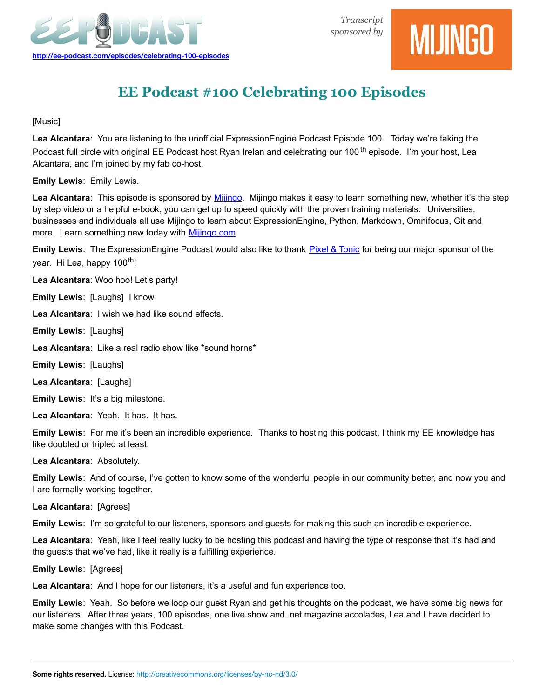



# **EE Podcast #100 Celebrating 100 Episodes**

[Music]

**Lea Alcantara**: You are listening to the unofficial ExpressionEngine Podcast Episode 100. Today we're taking the Podcast full circle with original EE Podcast host Ryan Irelan and celebrating our 100<sup>th</sup> episode. I'm your host, Lea Alcantara, and I'm joined by my fab co-host.

**Emily Lewis**: Emily Lewis.

**Lea Alcantara**: This episode is sponsored by [Mijingo.](http://mijingo.com/) Mijingo makes it easy to learn something new, whether it's the step by step video or a helpful e-book, you can get up to speed quickly with the proven training materials. Universities, businesses and individuals all use Mijingo to learn about ExpressionEngine, Python, Markdown, Omnifocus, Git and more. Learn something new today with [Mijingo.com.](http://mijingo.com/)

**Emily Lewis**: The ExpressionEngine Podcast would also like to thank [Pixel & Tonic](http://pixelandtonic.com/) for being our major sponsor of the year. Hi Lea, happy 100<sup>th</sup>!

**Lea Alcantara**: Woo hoo! Let's party!

**Emily Lewis**: [Laughs] I know.

**Lea Alcantara**: I wish we had like sound effects.

**Emily Lewis**: [Laughs]

**Lea Alcantara**: Like a real radio show like \*sound horns\*

**Emily Lewis**: [Laughs]

**Lea Alcantara**: [Laughs]

**Emily Lewis**: It's a big milestone.

**Lea Alcantara**: Yeah. It has. It has.

**Emily Lewis**: For me it's been an incredible experience. Thanks to hosting this podcast, I think my EE knowledge has like doubled or tripled at least.

**Lea Alcantara**: Absolutely.

**Emily Lewis**: And of course, I've gotten to know some of the wonderful people in our community better, and now you and I are formally working together.

**Lea Alcantara**: [Agrees]

**Emily Lewis**: I'm so grateful to our listeners, sponsors and guests for making this such an incredible experience.

**Lea Alcantara**: Yeah, like I feel really lucky to be hosting this podcast and having the type of response that it's had and the guests that we've had, like it really is a fulfilling experience.

**Emily Lewis**: [Agrees]

**Lea Alcantara**: And I hope for our listeners, it's a useful and fun experience too.

**Emily Lewis**: Yeah. So before we loop our guest Ryan and get his thoughts on the podcast, we have some big news for our listeners. After three years, 100 episodes, one live show and .net magazine accolades, Lea and I have decided to make some changes with this Podcast.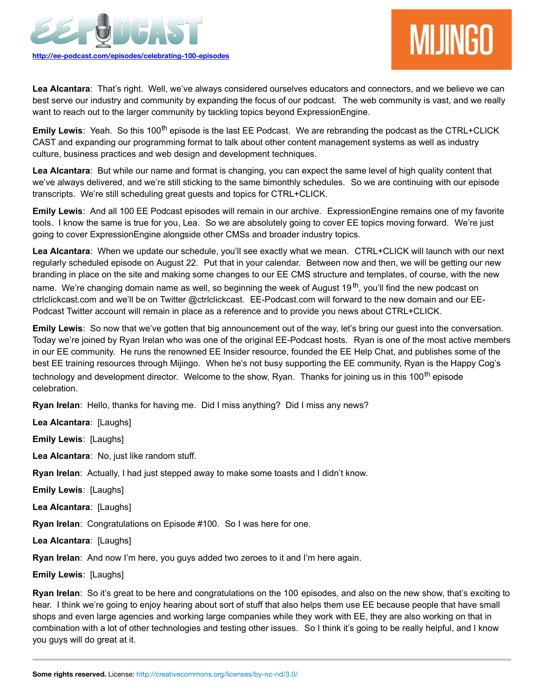

# **MIJINGO**

**Lea Alcantara**: That's right. Well, we've always considered ourselves educators and connectors, and we believe we can best serve our industry and community by expanding the focus of our podcast. The web community is vast, and we really want to reach out to the larger community by tackling topics beyond ExpressionEngine.

**Emily Lewis**: Yeah. So this 100<sup>th</sup> episode is the last EE Podcast. We are rebranding the podcast as the CTRL+CLICK CAST and expanding our programming format to talk about other content management systems as well as industry culture, business practices and web design and development techniques.

**Lea Alcantara**: But while our name and format is changing, you can expect the same level of high quality content that we've always delivered, and we're still sticking to the same bimonthly schedules. So we are continuing with our episode transcripts. We're still scheduling great guests and topics for CTRL+CLICK.

**Emily Lewis**: And all 100 EE Podcast episodes will remain in our archive. ExpressionEngine remains one of my favorite tools. I know the same is true for you, Lea. So we are absolutely going to cover EE topics moving forward. We're just going to cover ExpressionEngine alongside other CMSs and broader industry topics.

**Lea Alcantara**: When we update our schedule, you'll see exactly what we mean. CTRL+CLICK will launch with our next regularly scheduled episode on August 22. Put that in your calendar. Between now and then, we will be getting our new branding in place on the site and making some changes to our EE CMS structure and templates, of course, with the new

name. We're changing domain name as well, so beginning the week of August 19<sup>th</sup>, you'll find the new podcast on ctrlclickcast.com and we'll be on Twitter @ctrlclickcast. EE-Podcast.com will forward to the new domain and our EE-Podcast Twitter account will remain in place as a reference and to provide you news about CTRL+CLICK.

**Emily Lewis**: So now that we've gotten that big announcement out of the way, let's bring our guest into the conversation. Today we're joined by Ryan Irelan who was one of the original EE-Podcast hosts. Ryan is one of the most active members in our EE community. He runs the renowned EE Insider resource, founded the EE Help Chat, and publishes some of the best EE training resources through Mijingo. When he's not busy supporting the EE community, Ryan is the Happy Cog's technology and development director. Welcome to the show, Ryan. Thanks for joining us in this 100<sup>th</sup> episode celebration.

**Ryan Irelan**: Hello, thanks for having me. Did I miss anything? Did I miss any news?

**Lea Alcantara**: [Laughs]

**Emily Lewis**: [Laughs]

**Lea Alcantara**: No, just like random stuff.

**Ryan Irelan**: Actually, I had just stepped away to make some toasts and I didn't know.

**Emily Lewis**: [Laughs]

**Lea Alcantara**: [Laughs]

**Ryan Irelan**: Congratulations on Episode #100. So I was here for one.

**Lea Alcantara**: [Laughs]

**Ryan Irelan**: And now I'm here, you guys added two zeroes to it and I'm here again.

**Emily Lewis**: [Laughs]

**Ryan Irelan**: So it's great to be here and congratulations on the 100 episodes, and also on the new show, that's exciting to hear. I think we're going to enjoy hearing about sort of stuff that also helps them use EE because people that have small shops and even large agencies and working large companies while they work with EE, they are also working on that in combination with a lot of other technologies and testing other issues. So I think it's going to be really helpful, and I know you guys will do great at it.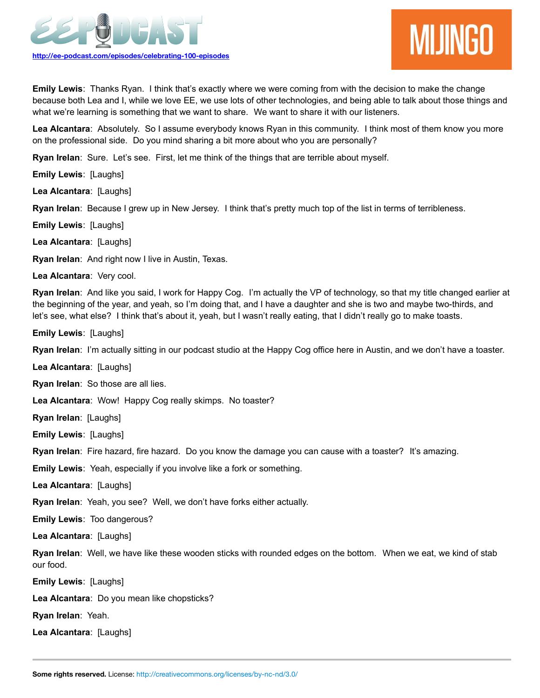



**Emily Lewis**: Thanks Ryan. I think that's exactly where we were coming from with the decision to make the change because both Lea and I, while we love EE, we use lots of other technologies, and being able to talk about those things and what we're learning is something that we want to share. We want to share it with our listeners.

**Lea Alcantara**: Absolutely. So I assume everybody knows Ryan in this community. I think most of them know you more on the professional side. Do you mind sharing a bit more about who you are personally?

**Ryan Irelan**: Sure. Let's see. First, let me think of the things that are terrible about myself.

**Emily Lewis**: [Laughs]

**Lea Alcantara**: [Laughs]

**Ryan Irelan**: Because I grew up in New Jersey. I think that's pretty much top of the list in terms of terribleness.

**Emily Lewis**: [Laughs]

**Lea Alcantara**: [Laughs]

**Ryan Irelan**: And right now I live in Austin, Texas.

**Lea Alcantara**: Very cool.

**Ryan Irelan**: And like you said, I work for Happy Cog. I'm actually the VP of technology, so that my title changed earlier at the beginning of the year, and yeah, so I'm doing that, and I have a daughter and she is two and maybe two-thirds, and let's see, what else? I think that's about it, yeah, but I wasn't really eating, that I didn't really go to make toasts.

**Emily Lewis**: [Laughs]

**Ryan Irelan**: I'm actually sitting in our podcast studio at the Happy Cog office here in Austin, and we don't have a toaster.

**Lea Alcantara**: [Laughs]

**Ryan Irelan**: So those are all lies.

**Lea Alcantara**: Wow! Happy Cog really skimps. No toaster?

**Ryan Irelan**: [Laughs]

**Emily Lewis**: [Laughs]

**Ryan Irelan**: Fire hazard, fire hazard. Do you know the damage you can cause with a toaster? It's amazing.

**Emily Lewis**: Yeah, especially if you involve like a fork or something.

**Lea Alcantara**: [Laughs]

**Ryan Irelan**: Yeah, you see? Well, we don't have forks either actually.

**Emily Lewis**: Too dangerous?

**Lea Alcantara**: [Laughs]

**Ryan Irelan**: Well, we have like these wooden sticks with rounded edges on the bottom. When we eat, we kind of stab our food.

**Emily Lewis**: [Laughs]

**Lea Alcantara**: Do you mean like chopsticks?

**Ryan Irelan**: Yeah.

**Lea Alcantara**: [Laughs]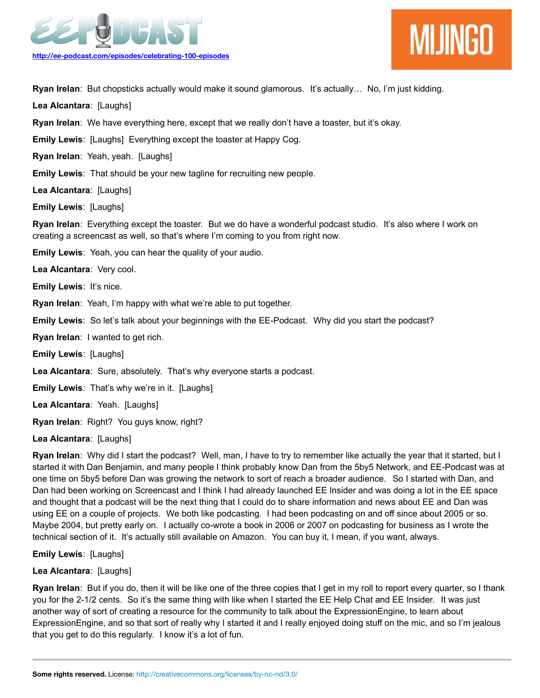



**Ryan Irelan**: But chopsticks actually would make it sound glamorous. It's actually… No, I'm just kidding.

**Lea Alcantara**: [Laughs]

**Ryan Irelan**: We have everything here, except that we really don't have a toaster, but it's okay.

**Emily Lewis**: [Laughs] Everything except the toaster at Happy Cog.

**Ryan Irelan**: Yeah, yeah. [Laughs]

**Emily Lewis**: That should be your new tagline for recruiting new people.

**Lea Alcantara**: [Laughs]

**Emily Lewis**: [Laughs]

**Ryan Irelan**: Everything except the toaster. But we do have a wonderful podcast studio. It's also where I work on creating a screencast as well, so that's where I'm coming to you from right now.

**Emily Lewis**: Yeah, you can hear the quality of your audio.

**Lea Alcantara**: Very cool.

**Emily Lewis: It's nice.** 

**Ryan Irelan**: Yeah, I'm happy with what we're able to put together.

**Emily Lewis**: So let's talk about your beginnings with the EE-Podcast. Why did you start the podcast?

**Ryan Irelan**: I wanted to get rich.

**Emily Lewis**: [Laughs]

**Lea Alcantara**: Sure, absolutely. That's why everyone starts a podcast.

**Emily Lewis**: That's why we're in it. [Laughs]

**Lea Alcantara**: Yeah. [Laughs]

**Ryan Irelan**: Right? You guys know, right?

**Lea Alcantara**: [Laughs]

**Ryan Irelan**: Why did I start the podcast? Well, man, I have to try to remember like actually the year that it started, but I started it with Dan Benjamin, and many people I think probably know Dan from the 5by5 Network, and EE-Podcast was at one time on 5by5 before Dan was growing the network to sort of reach a broader audience. So I started with Dan, and Dan had been working on Screencast and I think I had already launched EE Insider and was doing a lot in the EE space and thought that a podcast will be the next thing that I could do to share information and news about EE and Dan was using EE on a couple of projects. We both like podcasting. I had been podcasting on and off since about 2005 or so. Maybe 2004, but pretty early on. I actually co-wrote a book in 2006 or 2007 on podcasting for business as I wrote the technical section of it. It's actually still available on Amazon. You can buy it, I mean, if you want, always.

**Emily Lewis**: [Laughs]

### **Lea Alcantara**: [Laughs]

**Ryan Irelan**: But if you do, then it will be like one of the three copies that I get in my roll to report every quarter, so I thank you for the 2-1/2 cents. So it's the same thing with like when I started the EE Help Chat and EE Insider. It was just another way of sort of creating a resource for the community to talk about the ExpressionEngine, to learn about ExpressionEngine, and so that sort of really why I started it and I really enjoyed doing stuff on the mic, and so I'm jealous that you get to do this regularly. I know it's a lot of fun.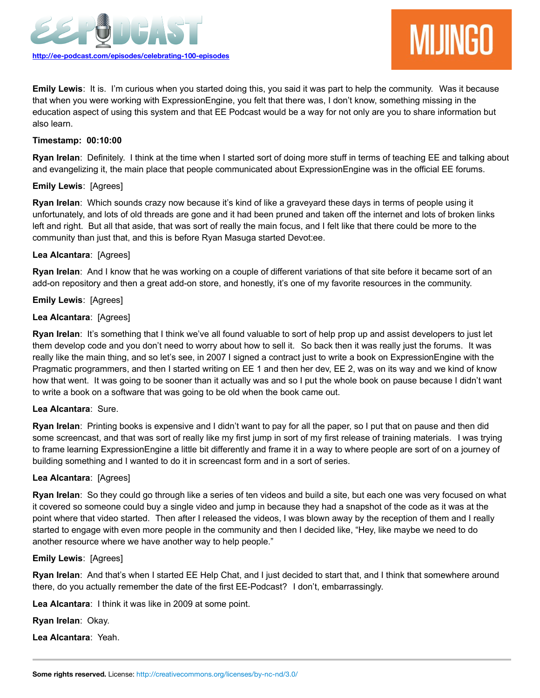

# **MIJINGO**

**Emily Lewis**: It is. I'm curious when you started doing this, you said it was part to help the community. Was it because that when you were working with ExpressionEngine, you felt that there was, I don't know, something missing in the education aspect of using this system and that EE Podcast would be a way for not only are you to share information but also learn.

### **Timestamp: 00:10:00**

**Ryan Irelan**: Definitely. I think at the time when I started sort of doing more stuff in terms of teaching EE and talking about and evangelizing it, the main place that people communicated about ExpressionEngine was in the official EE forums.

### **Emily Lewis**: [Agrees]

**Ryan Irelan**: Which sounds crazy now because it's kind of like a graveyard these days in terms of people using it unfortunately, and lots of old threads are gone and it had been pruned and taken off the internet and lots of broken links left and right. But all that aside, that was sort of really the main focus, and I felt like that there could be more to the community than just that, and this is before Ryan Masuga started Devot:ee.

### **Lea Alcantara**: [Agrees]

**Ryan Irelan**: And I know that he was working on a couple of different variations of that site before it became sort of an add-on repository and then a great add-on store, and honestly, it's one of my favorite resources in the community.

### **Emily Lewis**: [Agrees]

### **Lea Alcantara**: [Agrees]

**Ryan Irelan**: It's something that I think we've all found valuable to sort of help prop up and assist developers to just let them develop code and you don't need to worry about how to sell it. So back then it was really just the forums. It was really like the main thing, and so let's see, in 2007 I signed a contract just to write a book on ExpressionEngine with the Pragmatic programmers, and then I started writing on EE 1 and then her dev, EE 2, was on its way and we kind of know how that went. It was going to be sooner than it actually was and so I put the whole book on pause because I didn't want to write a book on a software that was going to be old when the book came out.

### **Lea Alcantara**: Sure.

**Ryan Irelan**: Printing books is expensive and I didn't want to pay for all the paper, so I put that on pause and then did some screencast, and that was sort of really like my first jump in sort of my first release of training materials. I was trying to frame learning ExpressionEngine a little bit differently and frame it in a way to where people are sort of on a journey of building something and I wanted to do it in screencast form and in a sort of series.

### **Lea Alcantara**: [Agrees]

**Ryan Irelan**: So they could go through like a series of ten videos and build a site, but each one was very focused on what it covered so someone could buy a single video and jump in because they had a snapshot of the code as it was at the point where that video started. Then after I released the videos, I was blown away by the reception of them and I really started to engage with even more people in the community and then I decided like, "Hey, like maybe we need to do another resource where we have another way to help people."

### **Emily Lewis**: [Agrees]

**Ryan Irelan**: And that's when I started EE Help Chat, and I just decided to start that, and I think that somewhere around there, do you actually remember the date of the first EE-Podcast? I don't, embarrassingly.

**Lea Alcantara**: I think it was like in 2009 at some point.

**Ryan Irelan**: Okay.

**Lea Alcantara**: Yeah.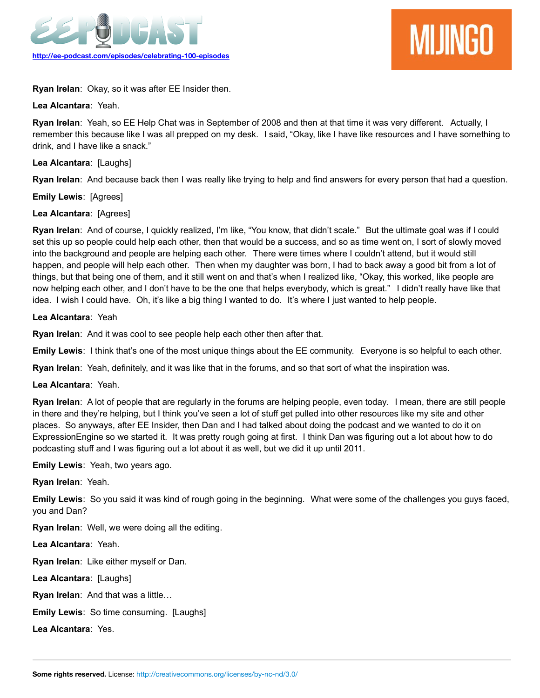

**Ryan Irelan**: Okay, so it was after EE Insider then.

**Lea Alcantara**: Yeah.

**Ryan Irelan**: Yeah, so EE Help Chat was in September of 2008 and then at that time it was very different. Actually, I remember this because like I was all prepped on my desk. I said, "Okay, like I have like resources and I have something to drink, and I have like a snack."

# **Lea Alcantara**: [Laughs]

**Ryan Irelan**: And because back then I was really like trying to help and find answers for every person that had a question.

**Emily Lewis**: [Agrees]

# **Lea Alcantara**: [Agrees]

**Ryan Irelan**: And of course, I quickly realized, I'm like, "You know, that didn't scale." But the ultimate goal was if I could set this up so people could help each other, then that would be a success, and so as time went on, I sort of slowly moved into the background and people are helping each other. There were times where I couldn't attend, but it would still happen, and people will help each other. Then when my daughter was born, I had to back away a good bit from a lot of things, but that being one of them, and it still went on and that's when I realized like, "Okay, this worked, like people are now helping each other, and I don't have to be the one that helps everybody, which is great." I didn't really have like that idea. I wish I could have. Oh, it's like a big thing I wanted to do. It's where I just wanted to help people.

# **Lea Alcantara**: Yeah

**Ryan Irelan**: And it was cool to see people help each other then after that.

**Emily Lewis**: I think that's one of the most unique things about the EE community. Everyone is so helpful to each other.

**Ryan Irelan**: Yeah, definitely, and it was like that in the forums, and so that sort of what the inspiration was.

# **Lea Alcantara**: Yeah.

**Ryan Irelan**: A lot of people that are regularly in the forums are helping people, even today. I mean, there are still people in there and they're helping, but I think you've seen a lot of stuff get pulled into other resources like my site and other places. So anyways, after EE Insider, then Dan and I had talked about doing the podcast and we wanted to do it on ExpressionEngine so we started it. It was pretty rough going at first. I think Dan was figuring out a lot about how to do podcasting stuff and I was figuring out a lot about it as well, but we did it up until 2011.

**Emily Lewis**: Yeah, two years ago.

**Ryan Irelan**: Yeah.

**Emily Lewis**: So you said it was kind of rough going in the beginning. What were some of the challenges you guys faced, you and Dan?

**Ryan Irelan**: Well, we were doing all the editing.

**Lea Alcantara**: Yeah.

**Ryan Irelan**: Like either myself or Dan.

**Lea Alcantara**: [Laughs]

**Ryan Irelan**: And that was a little…

**Emily Lewis**: So time consuming. [Laughs]

**Lea Alcantara**: Yes.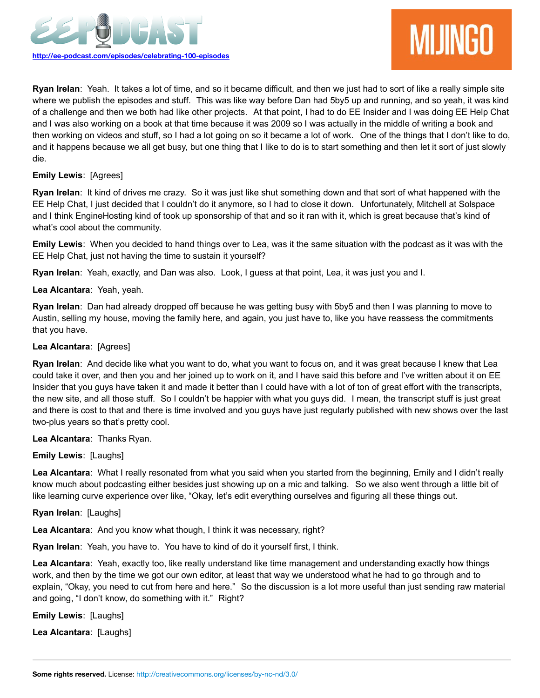

**Ryan Irelan**: Yeah. It takes a lot of time, and so it became difficult, and then we just had to sort of like a really simple site where we publish the episodes and stuff. This was like way before Dan had 5by5 up and running, and so yeah, it was kind of a challenge and then we both had like other projects. At that point, I had to do EE Insider and I was doing EE Help Chat and I was also working on a book at that time because it was 2009 so I was actually in the middle of writing a book and then working on videos and stuff, so I had a lot going on so it became a lot of work. One of the things that I don't like to do, and it happens because we all get busy, but one thing that I like to do is to start something and then let it sort of just slowly die.

### **Emily Lewis**: [Agrees]

**Ryan Irelan**: It kind of drives me crazy. So it was just like shut something down and that sort of what happened with the EE Help Chat, I just decided that I couldn't do it anymore, so I had to close it down. Unfortunately, Mitchell at Solspace and I think EngineHosting kind of took up sponsorship of that and so it ran with it, which is great because that's kind of what's cool about the community.

**Emily Lewis**: When you decided to hand things over to Lea, was it the same situation with the podcast as it was with the EE Help Chat, just not having the time to sustain it yourself?

**Ryan Irelan**: Yeah, exactly, and Dan was also. Look, I guess at that point, Lea, it was just you and I.

### **Lea Alcantara**: Yeah, yeah.

**Ryan Irelan**: Dan had already dropped off because he was getting busy with 5by5 and then I was planning to move to Austin, selling my house, moving the family here, and again, you just have to, like you have reassess the commitments that you have.

### **Lea Alcantara**: [Agrees]

**Ryan Irelan**: And decide like what you want to do, what you want to focus on, and it was great because I knew that Lea could take it over, and then you and her joined up to work on it, and I have said this before and I've written about it on EE Insider that you guys have taken it and made it better than I could have with a lot of ton of great effort with the transcripts, the new site, and all those stuff. So I couldn't be happier with what you guys did. I mean, the transcript stuff is just great and there is cost to that and there is time involved and you guys have just regularly published with new shows over the last two-plus years so that's pretty cool.

### **Lea Alcantara**: Thanks Ryan.

# **Emily Lewis**: [Laughs]

**Lea Alcantara**: What I really resonated from what you said when you started from the beginning, Emily and I didn't really know much about podcasting either besides just showing up on a mic and talking. So we also went through a little bit of like learning curve experience over like, "Okay, let's edit everything ourselves and figuring all these things out.

### **Ryan Irelan**: [Laughs]

**Lea Alcantara**: And you know what though, I think it was necessary, right?

**Ryan Irelan**: Yeah, you have to. You have to kind of do it yourself first, I think.

**Lea Alcantara**: Yeah, exactly too, like really understand like time management and understanding exactly how things work, and then by the time we got our own editor, at least that way we understood what he had to go through and to explain, "Okay, you need to cut from here and here." So the discussion is a lot more useful than just sending raw material and going, "I don't know, do something with it." Right?

**Emily Lewis**: [Laughs]

**Lea Alcantara**: [Laughs]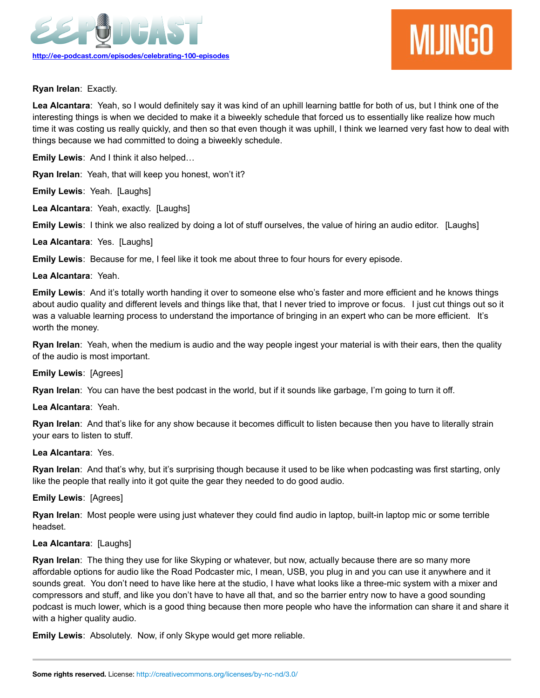



**Ryan Irelan**: Exactly.

**Lea Alcantara**: Yeah, so I would definitely say it was kind of an uphill learning battle for both of us, but I think one of the interesting things is when we decided to make it a biweekly schedule that forced us to essentially like realize how much time it was costing us really quickly, and then so that even though it was uphill, I think we learned very fast how to deal with things because we had committed to doing a biweekly schedule.

**Emily Lewis**: And I think it also helped…

**Ryan Irelan**: Yeah, that will keep you honest, won't it?

**Emily Lewis**: Yeah. [Laughs]

**Lea Alcantara**: Yeah, exactly. [Laughs]

**Emily Lewis**: I think we also realized by doing a lot of stuff ourselves, the value of hiring an audio editor. [Laughs]

**Lea Alcantara**: Yes. [Laughs]

**Emily Lewis**: Because for me, I feel like it took me about three to four hours for every episode.

### **Lea Alcantara**: Yeah.

**Emily Lewis**: And it's totally worth handing it over to someone else who's faster and more efficient and he knows things about audio quality and different levels and things like that, that I never tried to improve or focus. I just cut things out so it was a valuable learning process to understand the importance of bringing in an expert who can be more efficient. It's worth the money.

**Ryan Irelan**: Yeah, when the medium is audio and the way people ingest your material is with their ears, then the quality of the audio is most important.

### **Emily Lewis**: [Agrees]

**Ryan Irelan**: You can have the best podcast in the world, but if it sounds like garbage, I'm going to turn it off.

**Lea Alcantara**: Yeah.

**Ryan Irelan**: And that's like for any show because it becomes difficult to listen because then you have to literally strain your ears to listen to stuff.

### **Lea Alcantara**: Yes.

**Ryan Irelan**: And that's why, but it's surprising though because it used to be like when podcasting was first starting, only like the people that really into it got quite the gear they needed to do good audio.

### **Emily Lewis**: [Agrees]

**Ryan Irelan**: Most people were using just whatever they could find audio in laptop, built-in laptop mic or some terrible headset.

### **Lea Alcantara**: [Laughs]

**Ryan Irelan**: The thing they use for like Skyping or whatever, but now, actually because there are so many more affordable options for audio like the Road Podcaster mic, I mean, USB, you plug in and you can use it anywhere and it sounds great. You don't need to have like here at the studio, I have what looks like a three-mic system with a mixer and compressors and stuff, and like you don't have to have all that, and so the barrier entry now to have a good sounding podcast is much lower, which is a good thing because then more people who have the information can share it and share it with a higher quality audio.

**Emily Lewis**: Absolutely. Now, if only Skype would get more reliable.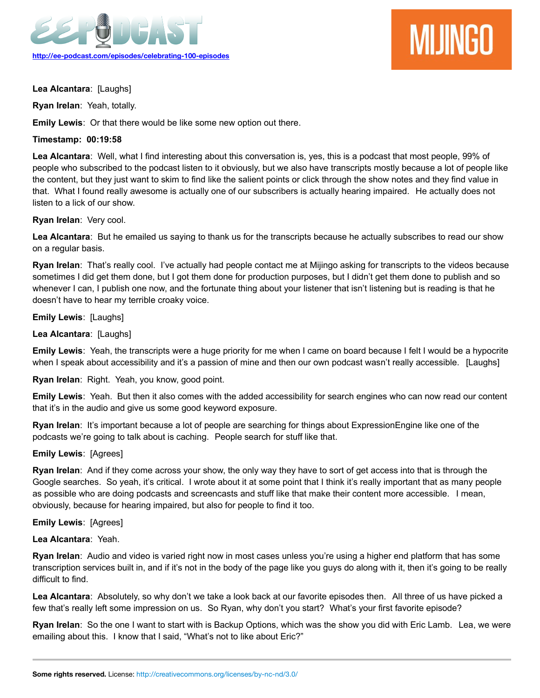

# **MIJINGO**

**Lea Alcantara**: [Laughs]

**Ryan Irelan**: Yeah, totally.

**Emily Lewis**: Or that there would be like some new option out there.

# **Timestamp: 00:19:58**

**Lea Alcantara**: Well, what I find interesting about this conversation is, yes, this is a podcast that most people, 99% of people who subscribed to the podcast listen to it obviously, but we also have transcripts mostly because a lot of people like the content, but they just want to skim to find like the salient points or click through the show notes and they find value in that. What I found really awesome is actually one of our subscribers is actually hearing impaired. He actually does not listen to a lick of our show.

### **Ryan Irelan**: Very cool.

**Lea Alcantara**: But he emailed us saying to thank us for the transcripts because he actually subscribes to read our show on a regular basis.

**Ryan Irelan**: That's really cool. I've actually had people contact me at Mijingo asking for transcripts to the videos because sometimes I did get them done, but I got them done for production purposes, but I didn't get them done to publish and so whenever I can, I publish one now, and the fortunate thing about your listener that isn't listening but is reading is that he doesn't have to hear my terrible croaky voice.

### **Emily Lewis**: [Laughs]

### **Lea Alcantara**: [Laughs]

**Emily Lewis**: Yeah, the transcripts were a huge priority for me when I came on board because I felt I would be a hypocrite when I speak about accessibility and it's a passion of mine and then our own podcast wasn't really accessible. [Laughs]

**Ryan Irelan**: Right. Yeah, you know, good point.

**Emily Lewis**: Yeah. But then it also comes with the added accessibility for search engines who can now read our content that it's in the audio and give us some good keyword exposure.

**Ryan Irelan**: It's important because a lot of people are searching for things about ExpressionEngine like one of the podcasts we're going to talk about is caching. People search for stuff like that.

# **Emily Lewis**: [Agrees]

**Ryan Irelan**: And if they come across your show, the only way they have to sort of get access into that is through the Google searches. So yeah, it's critical. I wrote about it at some point that I think it's really important that as many people as possible who are doing podcasts and screencasts and stuff like that make their content more accessible. I mean, obviously, because for hearing impaired, but also for people to find it too.

### **Emily Lewis**: [Agrees]

### **Lea Alcantara**: Yeah.

**Ryan Irelan**: Audio and video is varied right now in most cases unless you're using a higher end platform that has some transcription services built in, and if it's not in the body of the page like you guys do along with it, then it's going to be really difficult to find.

**Lea Alcantara**: Absolutely, so why don't we take a look back at our favorite episodes then. All three of us have picked a few that's really left some impression on us. So Ryan, why don't you start? What's your first favorite episode?

**Ryan Irelan**: So the one I want to start with is Backup Options, which was the show you did with Eric Lamb. Lea, we were emailing about this. I know that I said, "What's not to like about Eric?"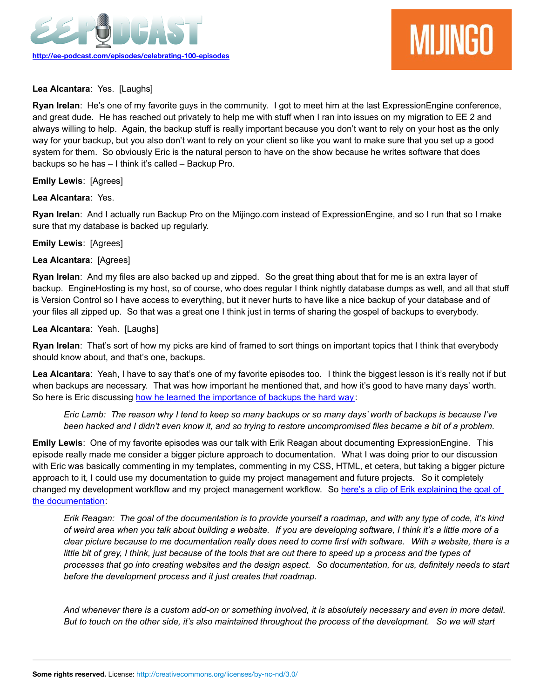

# **Lea Alcantara**: Yes. [Laughs]

**Ryan Irelan**: He's one of my favorite guys in the community. I got to meet him at the last ExpressionEngine conference, and great dude. He has reached out privately to help me with stuff when I ran into issues on my migration to EE 2 and always willing to help. Again, the backup stuff is really important because you don't want to rely on your host as the only way for your backup, but you also don't want to rely on your client so like you want to make sure that you set up a good system for them. So obviously Eric is the natural person to have on the show because he writes software that does backups so he has – I think it's called – Backup Pro.

**Emily Lewis**: [Agrees]

# **Lea Alcantara**: Yes.

**Ryan Irelan**: And I actually run Backup Pro on the Mijingo.com instead of ExpressionEngine, and so I run that so I make sure that my database is backed up regularly.

### **Emily Lewis**: [Agrees]

### **Lea Alcantara**: [Agrees]

**Ryan Irelan**: And my files are also backed up and zipped. So the great thing about that for me is an extra layer of backup. EngineHosting is my host, so of course, who does regular I think nightly database dumps as well, and all that stuff is Version Control so I have access to everything, but it never hurts to have like a nice backup of your database and of your files all zipped up. So that was a great one I think just in terms of sharing the gospel of backups to everybody.

### **Lea Alcantara**: Yeah. [Laughs]

**Ryan Irelan**: That's sort of how my picks are kind of framed to sort things on important topics that I think that everybody should know about, and that's one, backups.

Lea Alcantara: Yeah, I have to say that's one of my favorite episodes too. I think the biggest lesson is it's really not if but when backups are necessary. That was how important he mentioned that, and how it's good to have many days' worth. So here is Eric discussing [how he learned the importance of backups the hard way:](http://ee-podcast.com/episodes/backup-options-w-eric-lamb)

*Eric Lamb: The reason why I tend to keep so many backups or so many days' worth of backups is because I've been hacked and I didn't even know it, and so trying to restore uncompromised files became a bit of a problem.*

**Emily Lewis**: One of my favorite episodes was our talk with Erik Reagan about documenting ExpressionEngine. This episode really made me consider a bigger picture approach to documentation. What I was doing prior to our discussion with Eric was basically commenting in my templates, commenting in my CSS, HTML, et cetera, but taking a bigger picture approach to it, I could use my documentation to guide my project management and future projects. So it completely changed my development workflow and my project management workflow. So [here's a clip of Erik explaining the goal of](http://ee-podcast.com/episodes/documenting-ee) [the documentation:](http://ee-podcast.com/episodes/documenting-ee)

*Erik Reagan: The goal of the documentation is to provide yourself a roadmap, and with any type of code, it's kind of weird area when you talk about building a website. If you are developing software, I think it's a little more of a clear picture because to me documentation really does need to come first with software. With a website, there is a little bit of grey, I think, just because of the tools that are out there to speed up a process and the types of processes that go into creating websites and the design aspect. So documentation, for us, definitely needs to start before the development process and it just creates that roadmap.*

*And whenever there is a custom add-on or something involved, it is absolutely necessary and even in more detail. But to touch on the other side, it's also maintained throughout the process of the development. So we will start*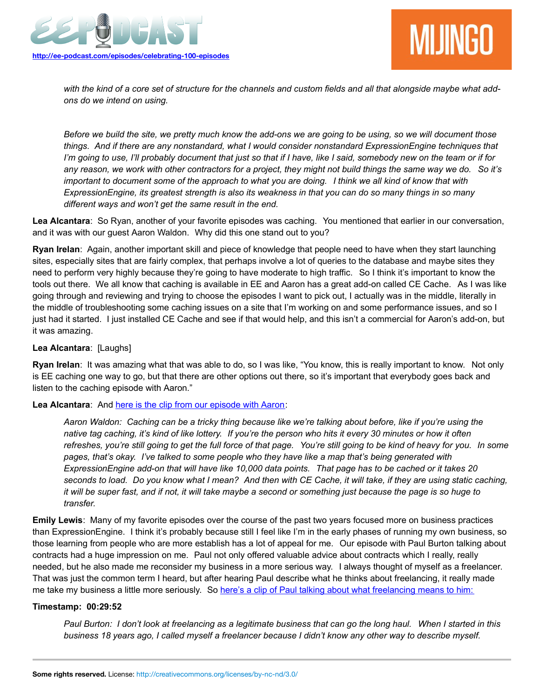



*with the kind of a core set of structure for the channels and custom fields and all that alongside maybe what addons do we intend on using.*

*Before we build the site, we pretty much know the add-ons we are going to be using, so we will document those things. And if there are any nonstandard, what I would consider nonstandard ExpressionEngine techniques that I'm going to use, I'll probably document that just so that if I have, like I said, somebody new on the team or if for any reason, we work with other contractors for a project, they might not build things the same way we do. So it's important to document some of the approach to what you are doing. I think we all kind of know that with ExpressionEngine, its greatest strength is also its weakness in that you can do so many things in so many different ways and won't get the same result in the end.*

**Lea Alcantara**: So Ryan, another of your favorite episodes was caching. You mentioned that earlier in our conversation, and it was with our guest Aaron Waldon. Why did this one stand out to you?

**Ryan Irelan**: Again, another important skill and piece of knowledge that people need to have when they start launching sites, especially sites that are fairly complex, that perhaps involve a lot of queries to the database and maybe sites they need to perform very highly because they're going to have moderate to high traffic. So I think it's important to know the tools out there. We all know that caching is available in EE and Aaron has a great add-on called CE Cache. As I was like going through and reviewing and trying to choose the episodes I want to pick out, I actually was in the middle, literally in the middle of troubleshooting some caching issues on a site that I'm working on and some performance issues, and so I just had it started. I just installed CE Cache and see if that would help, and this isn't a commercial for Aaron's add-on, but it was amazing.

### **Lea Alcantara**: [Laughs]

**Ryan Irelan**: It was amazing what that was able to do, so I was like, "You know, this is really important to know. Not only is EE caching one way to go, but that there are other options out there, so it's important that everybody goes back and listen to the caching episode with Aaron."

### **Lea Alcantara**: And [here is the clip from our episode with Aaron:](http://ee-podcast.com/episodes/caching-with-aaron-waldon)

*Aaron Waldon: Caching can be a tricky thing because like we're talking about before, like if you're using the native tag caching, it's kind of like lottery. If you're the person who hits it every 30 minutes or how it often refreshes, you're still going to get the full force of that page. You're still going to be kind of heavy for you. In some pages, that's okay. I've talked to some people who they have like a map that's being generated with ExpressionEngine add-on that will have like 10,000 data points. That page has to be cached or it takes 20 seconds to load. Do you know what I mean? And then with CE Cache, it will take, if they are using static caching, it will be super fast, and if not, it will take maybe a second or something just because the page is so huge to transfer.*

**Emily Lewis**: Many of my favorite episodes over the course of the past two years focused more on business practices than ExpressionEngine. I think it's probably because still I feel like I'm in the early phases of running my own business, so those learning from people who are more establish has a lot of appeal for me. Our episode with Paul Burton talking about contracts had a huge impression on me. Paul not only offered valuable advice about contracts which I really, really needed, but he also made me reconsider my business in a more serious way. I always thought of myself as a freelancer. That was just the common term I heard, but after hearing Paul describe what he thinks about freelancing, it really made me take my business a little more seriously. So [here's a clip of Paul talking about what freelancing means to him:](http://ee-podcast.com/episodes/contracts-business-with-paul-burton)

### **Timestamp: 00:29:52**

*Paul Burton: I don't look at freelancing as a legitimate business that can go the long haul. When I started in this business 18 years ago, I called myself a freelancer because I didn't know any other way to describe myself.*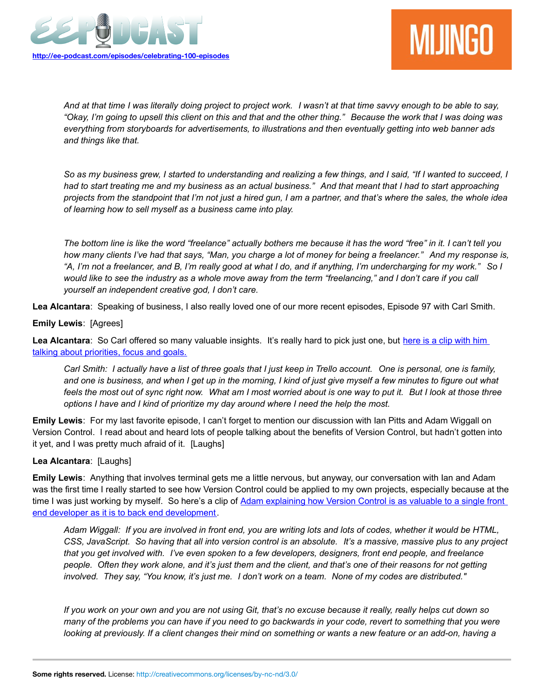



*And at that time I was literally doing project to project work. I wasn't at that time savvy enough to be able to say, "Okay, I'm going to upsell this client on this and that and the other thing." Because the work that I was doing was everything from storyboards for advertisements, to illustrations and then eventually getting into web banner ads and things like that.*

*So as my business grew, I started to understanding and realizing a few things, and I said, "If I wanted to succeed, I had to start treating me and my business as an actual business." And that meant that I had to start approaching projects from the standpoint that I'm not just a hired gun, I am a partner, and that's where the sales, the whole idea of learning how to sell myself as a business came into play.*

*The bottom line is like the word "freelance" actually bothers me because it has the word "free" in it. I can't tell you how many clients I've had that says, "Man, you charge a lot of money for being a freelancer." And my response is, "A, I'm not a freelancer, and B, I'm really good at what I do, and if anything, I'm undercharging for my work." So I would like to see the industry as a whole move away from the term "freelancing," and I don't care if you call yourself an independent creative god, I don't care.*

**Lea Alcantara**: Speaking of business, I also really loved one of our more recent episodes, Episode 97 with Carl Smith.

### **Emily Lewis**: [Agrees]

Lea Alcantara: So Carl offered so many valuable insights. It's really hard to pick just one, but [here is a clip with him](http://ee-podcast.com/episodes/your-work-your-life-with-carl-smith) [talking about priorities, focus and goals.](http://ee-podcast.com/episodes/your-work-your-life-with-carl-smith)

*Carl Smith: I actually have a list of three goals that I just keep in Trello account. One is personal, one is family, and one is business, and when I get up in the morning, I kind of just give myself a few minutes to figure out what feels the most out of sync right now. What am I most worried about is one way to put it. But I look at those three options I have and I kind of prioritize my day around where I need the help the most.*

**Emily Lewis**: For my last favorite episode, I can't forget to mention our discussion with Ian Pitts and Adam Wiggall on Version Control. I read about and heard lots of people talking about the benefits of Version Control, but hadn't gotten into it yet, and I was pretty much afraid of it. [Laughs]

# **Lea Alcantara**: [Laughs]

**Emily Lewis**: Anything that involves terminal gets me a little nervous, but anyway, our conversation with Ian and Adam was the first time I really started to see how Version Control could be applied to my own projects, especially because at the time I was just working by myself. So here's a clip of [Adam explaining how Version Control is as valuable to a single front](http://ee-podcast.com/episodes/version-control-with-ee) [end developer as it is to back end development.](http://ee-podcast.com/episodes/version-control-with-ee)

*Adam Wiggall: If you are involved in front end, you are writing lots and lots of codes, whether it would be HTML, CSS, JavaScript. So having that all into version control is an absolute. It's a massive, massive plus to any project that you get involved with. I've even spoken to a few developers, designers, front end people, and freelance people. Often they work alone, and it's just them and the client, and that's one of their reasons for not getting involved. They say, "You know, it's just me. I don't work on a team. None of my codes are distributed."*

*If you work on your own and you are not using Git, that's no excuse because it really, really helps cut down so many of the problems you can have if you need to go backwards in your code, revert to something that you were looking at previously. If a client changes their mind on something or wants a new feature or an add-on, having a*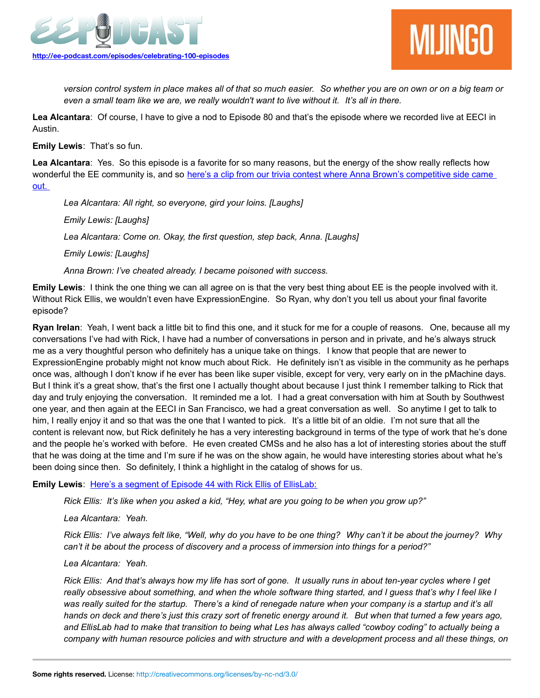



*version control system in place makes all of that so much easier. So whether you are on own or on a big team or even a small team like we are, we really wouldn't want to live without it. It's all in there.* 

**Lea Alcantara**: Of course, I have to give a nod to Episode 80 and that's the episode where we recorded live at EECI in Austin.

**Emily Lewis**: That's so fun.

**Lea Alcantara**: Yes. So this episode is a favorite for so many reasons, but the energy of the show really reflects how wonderful the EE community is, and so [here's a clip from our trivia contest where Anna Brown's competitive side came](http://ee-podcast.com/episodes/ee-podcast-live-eeci-2012-us) [out.](http://ee-podcast.com/episodes/ee-podcast-live-eeci-2012-us) 

*Lea Alcantara: All right, so everyone, gird your loins. [Laughs]*

*Emily Lewis: [Laughs]*

*Lea Alcantara: Come on. Okay, the first question, step back, Anna. [Laughs]*

*Emily Lewis: [Laughs]*

*Anna Brown: I've cheated already. I became poisoned with success.*

**Emily Lewis**: I think the one thing we can all agree on is that the very best thing about EE is the people involved with it. Without Rick Ellis, we wouldn't even have ExpressionEngine. So Ryan, why don't you tell us about your final favorite episode?

**Ryan Irelan**: Yeah, I went back a little bit to find this one, and it stuck for me for a couple of reasons. One, because all my conversations I've had with Rick, I have had a number of conversations in person and in private, and he's always struck me as a very thoughtful person who definitely has a unique take on things. I know that people that are newer to ExpressionEngine probably might not know much about Rick. He definitely isn't as visible in the community as he perhaps once was, although I don't know if he ever has been like super visible, except for very, very early on in the pMachine days. But I think it's a great show, that's the first one I actually thought about because I just think I remember talking to Rick that day and truly enjoying the conversation. It reminded me a lot. I had a great conversation with him at South by Southwest one year, and then again at the EECI in San Francisco, we had a great conversation as well. So anytime I get to talk to him, I really enjoy it and so that was the one that I wanted to pick. It's a little bit of an oldie. I'm not sure that all the content is relevant now, but Rick definitely he has a very interesting background in terms of the type of work that he's done and the people he's worked with before. He even created CMSs and he also has a lot of interesting stories about the stuff that he was doing at the time and I'm sure if he was on the show again, he would have interesting stories about what he's been doing since then. So definitely, I think a highlight in the catalog of shows for us.

**Emily Lewis: [Here's a segment of Episode 44 with Rick Ellis of EllisLab:](http://ee-podcast.com/episodes/rick-ellis-of-ellislab)** 

*Rick Ellis: It's like when you asked a kid, "Hey, what are you going to be when you grow up?"* 

*Lea Alcantara: Yeah.*

*Rick Ellis: I've always felt like, "Well, why do you have to be one thing? Why can't it be about the journey? Why can't it be about the process of discovery and a process of immersion into things for a period?"*

*Lea Alcantara: Yeah.*

*Rick Ellis: And that's always how my life has sort of gone. It usually runs in about ten-year cycles where I get really obsessive about something, and when the whole software thing started, and I guess that's why I feel like I was really suited for the startup. There's a kind of renegade nature when your company is a startup and it's all hands on deck and there's just this crazy sort of frenetic energy around it. But when that turned a few years ago, and EllisLab had to make that transition to being what Les has always called "cowboy coding" to actually being a company with human resource policies and with structure and with a development process and all these things, on*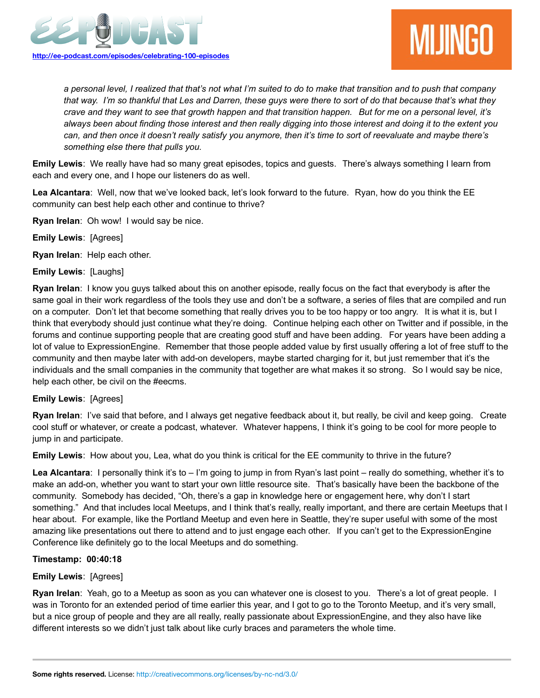

*a personal level, I realized that that's not what I'm suited to do to make that transition and to push that company that way. I'm so thankful that Les and Darren, these guys were there to sort of do that because that's what they crave and they want to see that growth happen and that transition happen. But for me on a personal level, it's always been about finding those interest and then really digging into those interest and doing it to the extent you can, and then once it doesn't really satisfy you anymore, then it's time to sort of reevaluate and maybe there's something else there that pulls you.*

**Emily Lewis**: We really have had so many great episodes, topics and guests. There's always something I learn from each and every one, and I hope our listeners do as well.

**Lea Alcantara**: Well, now that we've looked back, let's look forward to the future. Ryan, how do you think the EE community can best help each other and continue to thrive?

**Ryan Irelan**: Oh wow! I would say be nice.

**Emily Lewis**: [Agrees]

**Ryan Irelan**: Help each other.

**Emily Lewis**: [Laughs]

**Ryan Irelan**: I know you guys talked about this on another episode, really focus on the fact that everybody is after the same goal in their work regardless of the tools they use and don't be a software, a series of files that are compiled and run on a computer. Don't let that become something that really drives you to be too happy or too angry. It is what it is, but I think that everybody should just continue what they're doing. Continue helping each other on Twitter and if possible, in the forums and continue supporting people that are creating good stuff and have been adding. For years have been adding a lot of value to ExpressionEngine. Remember that those people added value by first usually offering a lot of free stuff to the community and then maybe later with add-on developers, maybe started charging for it, but just remember that it's the individuals and the small companies in the community that together are what makes it so strong. So I would say be nice, help each other, be civil on the #eecms.

# **Emily Lewis**: [Agrees]

**Ryan Irelan**: I've said that before, and I always get negative feedback about it, but really, be civil and keep going. Create cool stuff or whatever, or create a podcast, whatever. Whatever happens, I think it's going to be cool for more people to jump in and participate.

**Emily Lewis**: How about you, Lea, what do you think is critical for the EE community to thrive in the future?

Lea Alcantara: I personally think it's to - I'm going to jump in from Ryan's last point - really do something, whether it's to make an add-on, whether you want to start your own little resource site. That's basically have been the backbone of the community. Somebody has decided, "Oh, there's a gap in knowledge here or engagement here, why don't I start something." And that includes local Meetups, and I think that's really, really important, and there are certain Meetups that I hear about. For example, like the Portland Meetup and even here in Seattle, they're super useful with some of the most amazing like presentations out there to attend and to just engage each other. If you can't get to the ExpressionEngine Conference like definitely go to the local Meetups and do something.

### **Timestamp: 00:40:18**

# **Emily Lewis**: [Agrees]

**Ryan Irelan**: Yeah, go to a Meetup as soon as you can whatever one is closest to you. There's a lot of great people. I was in Toronto for an extended period of time earlier this year, and I got to go to the Toronto Meetup, and it's very small, but a nice group of people and they are all really, really passionate about ExpressionEngine, and they also have like different interests so we didn't just talk about like curly braces and parameters the whole time.